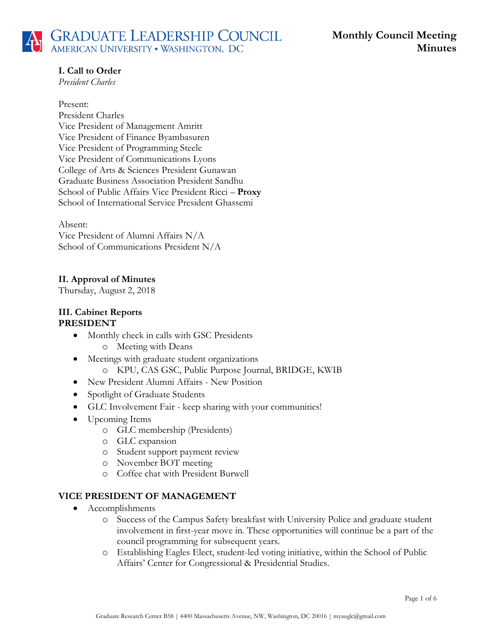# **I. Call to Order**

*President Charles*

#### Present:

President Charles Vice President of Management Amritt Vice President of Finance Byambasuren Vice President of Programming Steele Vice President of Communications Lyons College of Arts & Sciences President Gunawan Graduate Business Association President Sandhu School of Public Affairs Vice President Ricci – **Proxy** School of International Service President Ghassemi

#### Absent:

Vice President of Alumni Affairs N/A School of Communications President N/A

# **II. Approval of Minutes**

Thursday, August 2, 2018

### **III. Cabinet Reports PRESIDENT**

- Monthly check in calls with GSC Presidents o Meeting with Deans
- Meetings with graduate student organizations o KPU, CAS GSC, Public Purpose Journal, BRIDGE, KWIB
- New President Alumni Affairs New Position
- Spotlight of Graduate Students
- GLC Involvement Fair keep sharing with your communities!
- Upcoming Items
	- o GLC membership (Presidents)
	- o GLC expansion
	- o Student support payment review
	- o November BOT meeting
	- o Coffee chat with President Burwell

## **VICE PRESIDENT OF MANAGEMENT**

- Accomplishments
	- o Success of the Campus Safety breakfast with University Police and graduate student involvement in first-year move in. These opportunities will continue be a part of the council programming for subsequent years.
	- o Establishing Eagles Elect, student-led voting initiative, within the School of Public Affairs' Center for Congressional & Presidential Studies.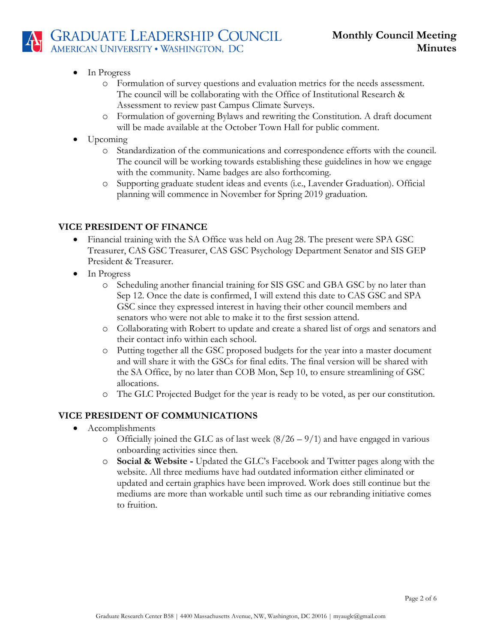

- In Progress
	- o Formulation of survey questions and evaluation metrics for the needs assessment. The council will be collaborating with the Office of Institutional Research & Assessment to review past Campus Climate Surveys.
	- o Formulation of governing Bylaws and rewriting the Constitution. A draft document will be made available at the October Town Hall for public comment.
- Upcoming
	- o Standardization of the communications and correspondence efforts with the council. The council will be working towards establishing these guidelines in how we engage with the community. Name badges are also forthcoming.
	- o Supporting graduate student ideas and events (i.e., Lavender Graduation). Official planning will commence in November for Spring 2019 graduation.

## **VICE PRESIDENT OF FINANCE**

- Financial training with the SA Office was held on Aug 28. The present were SPA GSC Treasurer, CAS GSC Treasurer, CAS GSC Psychology Department Senator and SIS GEP President & Treasurer.
- In Progress
	- o Scheduling another financial training for SIS GSC and GBA GSC by no later than Sep 12. Once the date is confirmed, I will extend this date to CAS GSC and SPA GSC since they expressed interest in having their other council members and senators who were not able to make it to the first session attend.
	- o Collaborating with Robert to update and create a shared list of orgs and senators and their contact info within each school.
	- o Putting together all the GSC proposed budgets for the year into a master document and will share it with the GSCs for final edits. The final version will be shared with the SA Office, by no later than COB Mon, Sep 10, to ensure streamlining of GSC allocations.
	- o The GLC Projected Budget for the year is ready to be voted, as per our constitution.

## **VICE PRESIDENT OF COMMUNICATIONS**

- Accomplishments
	- $\circ$  Officially joined the GLC as of last week (8/26 9/1) and have engaged in various onboarding activities since then.
	- o **Social & Website -** Updated the GLC's Facebook and Twitter pages along with the website. All three mediums have had outdated information either eliminated or updated and certain graphics have been improved. Work does still continue but the mediums are more than workable until such time as our rebranding initiative comes to fruition.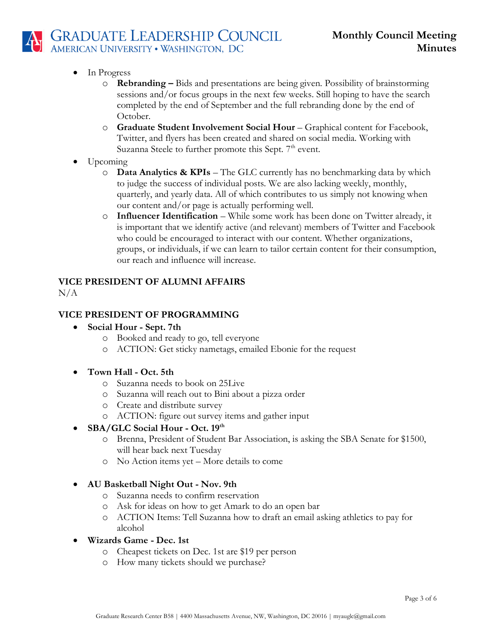- In Progress
	- o **Rebranding –** Bids and presentations are being given. Possibility of brainstorming sessions and/or focus groups in the next few weeks. Still hoping to have the search completed by the end of September and the full rebranding done by the end of October.
	- o **Graduate Student Involvement Social Hour** Graphical content for Facebook, Twitter, and flyers has been created and shared on social media. Working with Suzanna Steele to further promote this Sept.  $7<sup>th</sup>$  event.
- Upcoming
	- o **Data Analytics & KPIs** The GLC currently has no benchmarking data by which to judge the success of individual posts. We are also lacking weekly, monthly, quarterly, and yearly data. All of which contributes to us simply not knowing when our content and/or page is actually performing well.
	- o **Influencer Identification** While some work has been done on Twitter already, it is important that we identify active (and relevant) members of Twitter and Facebook who could be encouraged to interact with our content. Whether organizations, groups, or individuals, if we can learn to tailor certain content for their consumption, our reach and influence will increase.

# **VICE PRESIDENT OF ALUMNI AFFAIRS**

 $N/A$ 

# **VICE PRESIDENT OF PROGRAMMING**

- **Social Hour - Sept. 7th**
	- o Booked and ready to go, tell everyone
	- o ACTION: Get sticky nametags, emailed Ebonie for the request
- **Town Hall - Oct. 5th**
	- o Suzanna needs to book on 25Live
	- o Suzanna will reach out to Bini about a pizza order
	- o Create and distribute survey
	- o ACTION: figure out survey items and gather input

## • **SBA/GLC Social Hour - Oct. 19th**

- o Brenna, President of Student Bar Association, is asking the SBA Senate for \$1500, will hear back next Tuesday
- o No Action items yet More details to come
- **AU Basketball Night Out - Nov. 9th**
	- o Suzanna needs to confirm reservation
	- o Ask for ideas on how to get Amark to do an open bar
	- o ACTION Items: Tell Suzanna how to draft an email asking athletics to pay for alcohol
- **Wizards Game - Dec. 1st**
	- o Cheapest tickets on Dec. 1st are \$19 per person
	- o How many tickets should we purchase?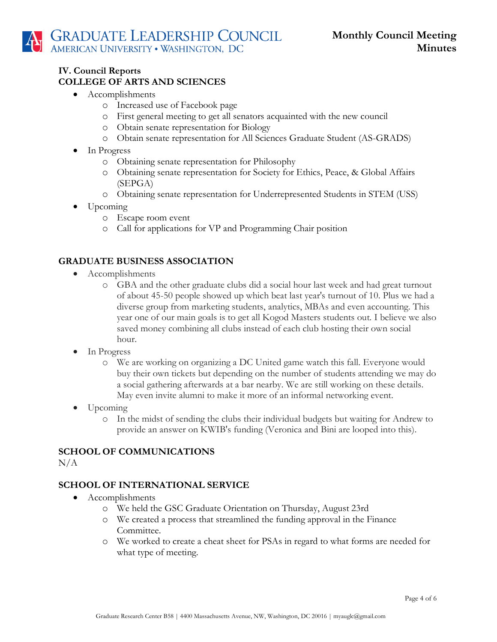### **IV. Council Reports COLLEGE OF ARTS AND SCIENCES**

- Accomplishments
	- o Increased use of Facebook page
	- o First general meeting to get all senators acquainted with the new council
	- o Obtain senate representation for Biology
	- o Obtain senate representation for All Sciences Graduate Student (AS-GRADS)
- In Progress
	- o Obtaining senate representation for Philosophy
	- o Obtaining senate representation for Society for Ethics, Peace, & Global Affairs (SEPGA)
	- o Obtaining senate representation for Underrepresented Students in STEM (USS)
- Upcoming
	- o Escape room event
	- o Call for applications for VP and Programming Chair position

## **GRADUATE BUSINESS ASSOCIATION**

- Accomplishments
	- o GBA and the other graduate clubs did a social hour last week and had great turnout of about 45-50 people showed up which beat last year's turnout of 10. Plus we had a diverse group from marketing students, analytics, MBAs and even accounting. This year one of our main goals is to get all Kogod Masters students out. I believe we also saved money combining all clubs instead of each club hosting their own social hour.
- In Progress
	- o We are working on organizing a DC United game watch this fall. Everyone would buy their own tickets but depending on the number of students attending we may do a social gathering afterwards at a bar nearby. We are still working on these details. May even invite alumni to make it more of an informal networking event.
- Upcoming
	- o In the midst of sending the clubs their individual budgets but waiting for Andrew to provide an answer on KWIB's funding (Veronica and Bini are looped into this).

## **SCHOOL OF COMMUNICATIONS**

 $N/A$ 

## **SCHOOL OF INTERNATIONAL SERVICE**

- Accomplishments
	- o We held the GSC Graduate Orientation on Thursday, August 23rd
	- o We created a process that streamlined the funding approval in the Finance Committee.
	- o We worked to create a cheat sheet for PSAs in regard to what forms are needed for what type of meeting.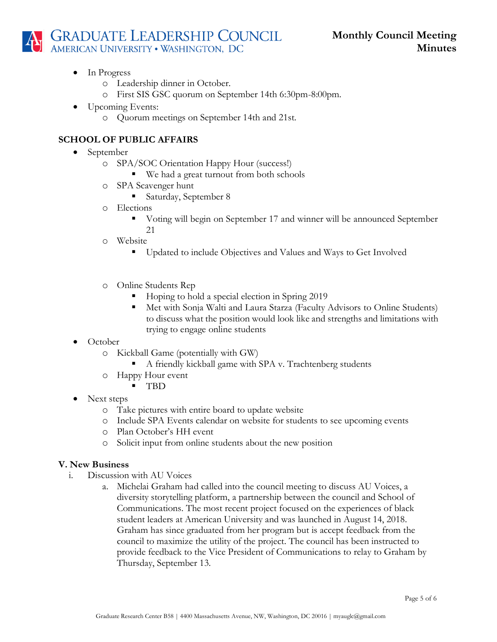**GRADUATE LEADERSHIP COUNCIL**<br>AMERICAN UNIVERSITY . WASHINGTON, DC

- In Progress
	- o Leadership dinner in October.
	- o First SIS GSC quorum on September 14th 6:30pm-8:00pm.
- Upcoming Events:
	- o Quorum meetings on September 14th and 21st.

### **SCHOOL OF PUBLIC AFFAIRS**

- September
	- o SPA/SOC Orientation Happy Hour (success!)
		- We had a great turnout from both schools
	- o SPA Scavenger hunt
		- Saturday, September 8
	- o Elections
		- Voting will begin on September 17 and winner will be announced September 21
	- o Website
		- Updated to include Objectives and Values and Ways to Get Involved
	- o Online Students Rep
		- Hoping to hold a special election in Spring 2019
		- Met with Sonja Walti and Laura Starza (Faculty Advisors to Online Students) to discuss what the position would look like and strengths and limitations with trying to engage online students
- October
	- o Kickball Game (potentially with GW)
		- A friendly kickball game with SPA v. Trachtenberg students
	- o Happy Hour event
		- TBD
- Next steps
	- o Take pictures with entire board to update website
	- o Include SPA Events calendar on website for students to see upcoming events
	- o Plan October's HH event
	- o Solicit input from online students about the new position

#### **V. New Business**

- i. Discussion with AU Voices
	- a. Michelai Graham had called into the council meeting to discuss AU Voices, a diversity storytelling platform, a partnership between the council and School of Communications. The most recent project focused on the experiences of black student leaders at American University and was launched in August 14, 2018. Graham has since graduated from her program but is accept feedback from the council to maximize the utility of the project. The council has been instructed to provide feedback to the Vice President of Communications to relay to Graham by Thursday, September 13.